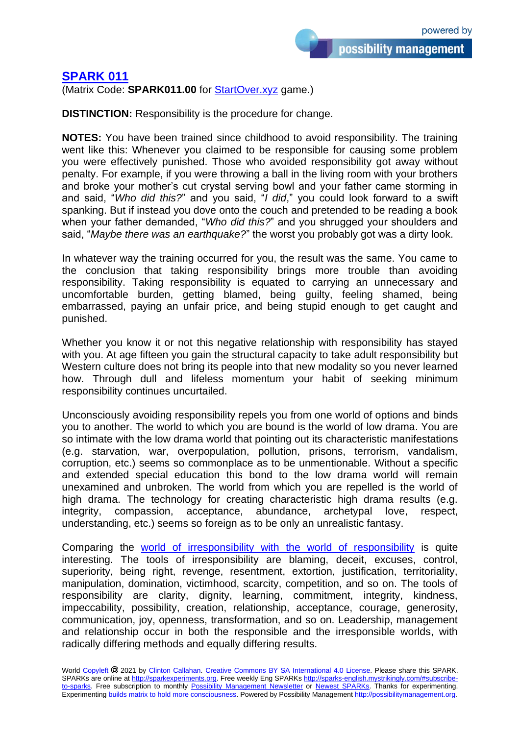possibility management

## **[SPARK 011](https://sparks-english.mystrikingly.com/)**

(Matrix Code: **SPARK011.00** for [StartOver.xyz](http://startoverxyz.mystrikingly.com/) game.)

**DISTINCTION:** Responsibility is the procedure for change.

**NOTES:** You have been trained since childhood to avoid responsibility. The training went like this: Whenever you claimed to be responsible for causing some problem you were effectively punished. Those who avoided responsibility got away without penalty. For example, if you were throwing a ball in the living room with your brothers and broke your mother's cut crystal serving bowl and your father came storming in and said, "*Who did this?*" and you said, "*I did*," you could look forward to a swift spanking. But if instead you dove onto the couch and pretended to be reading a book when your father demanded, "*Who did this?*" and you shrugged your shoulders and said, "*Maybe there was an earthquake?*" the worst you probably got was a dirty look.

In whatever way the training occurred for you, the result was the same. You came to the conclusion that taking responsibility brings more trouble than avoiding responsibility. Taking responsibility is equated to carrying an unnecessary and uncomfortable burden, getting blamed, being guilty, feeling shamed, being embarrassed, paying an unfair price, and being stupid enough to get caught and punished.

Whether you know it or not this negative relationship with responsibility has stayed with you. At age fifteen you gain the structural capacity to take adult responsibility but Western culture does not bring its people into that new modality so you never learned how. Through dull and lifeless momentum your habit of seeking minimum responsibility continues uncurtailed.

Unconsciously avoiding responsibility repels you from one world of options and binds you to another. The world to which you are bound is the world of low drama. You are so intimate with the low drama world that pointing out its characteristic manifestations (e.g. starvation, war, overpopulation, pollution, prisons, terrorism, vandalism, corruption, etc.) seems so commonplace as to be unmentionable. Without a specific and extended special education this bond to the low drama world will remain unexamined and unbroken. The world from which you are repelled is the world of high drama. The technology for creating characteristic high drama results (e.g. integrity, compassion, acceptance, abundance, archetypal love, respect, understanding, etc.) seems so foreign as to be only an unrealistic fantasy.

Comparing the [world of irresponsibility with the world of responsibility](http://mapofpossibility.mystrikingly.com/) is quite interesting. The tools of irresponsibility are blaming, deceit, excuses, control, superiority, being right, revenge, resentment, extortion, justification, territoriality, manipulation, domination, victimhood, scarcity, competition, and so on. The tools of responsibility are clarity, dignity, learning, commitment, integrity, kindness, impeccability, possibility, creation, relationship, acceptance, courage, generosity, communication, joy, openness, transformation, and so on. Leadership, management and relationship occur in both the responsible and the irresponsible worlds, with radically differing methods and equally differing results.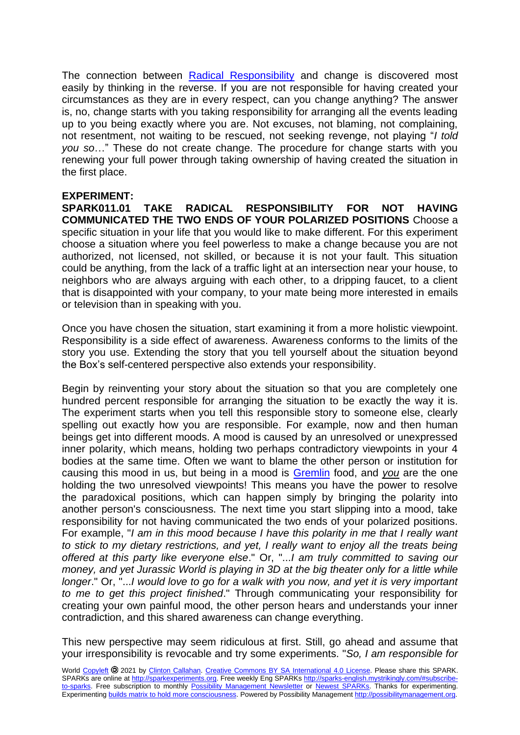The connection between [Radical Responsibility](http://radicalresponsibility.mystrikingly.com/) and change is discovered most easily by thinking in the reverse. If you are not responsible for having created your circumstances as they are in every respect, can you change anything? The answer is, no, change starts with you taking responsibility for arranging all the events leading up to you being exactly where you are. Not excuses, not blaming, not complaining, not resentment, not waiting to be rescued, not seeking revenge, not playing "*I told you so*…" These do not create change. The procedure for change starts with you renewing your full power through taking ownership of having created the situation in the first place.

## **EXPERIMENT:**

**SPARK011.01 TAKE RADICAL RESPONSIBILITY FOR NOT HAVING COMMUNICATED THE TWO ENDS OF YOUR POLARIZED POSITIONS** Choose a specific situation in your life that you would like to make different. For this experiment choose a situation where you feel powerless to make a change because you are not authorized, not licensed, not skilled, or because it is not your fault. This situation could be anything, from the lack of a traffic light at an intersection near your house, to neighbors who are always arguing with each other, to a dripping faucet, to a client that is disappointed with your company, to your mate being more interested in emails or television than in speaking with you.

Once you have chosen the situation, start examining it from a more holistic viewpoint. Responsibility is a side effect of awareness. Awareness conforms to the limits of the story you use. Extending the story that you tell yourself about the situation beyond the Box's self-centered perspective also extends your responsibility.

Begin by reinventing your story about the situation so that you are completely one hundred percent responsible for arranging the situation to be exactly the way it is. The experiment starts when you tell this responsible story to someone else, clearly spelling out exactly how you are responsible. For example, now and then human beings get into different moods. A mood is caused by an unresolved or unexpressed inner polarity, which means, holding two perhaps contradictory viewpoints in your 4 bodies at the same time. Often we want to blame the other person or institution for causing this mood in us, but being in a mood is [Gremlin](http://yourgremlin.mystrikingly.com/) food, and *you* are the one holding the two unresolved viewpoints! This means you have the power to resolve the paradoxical positions, which can happen simply by bringing the polarity into another person's consciousness. The next time you start slipping into a mood, take responsibility for not having communicated the two ends of your polarized positions. For example, "*I am in this mood because I have this polarity in me that I really want to stick to my dietary restrictions, and yet, I really want to enjoy all the treats being offered at this party like everyone else*." Or, "...*I am truly committed to saving our money, and yet Jurassic World is playing in 3D at the big theater only for a little while longer*." Or, "...*I would love to go for a walk with you now, and yet it is very important to me to get this project finished*." Through communicating your responsibility for creating your own painful mood, the other person hears and understands your inner contradiction, and this shared awareness can change everything.

This new perspective may seem ridiculous at first. Still, go ahead and assume that your irresponsibility is revocable and try some experiments. "*So, I am responsible for*